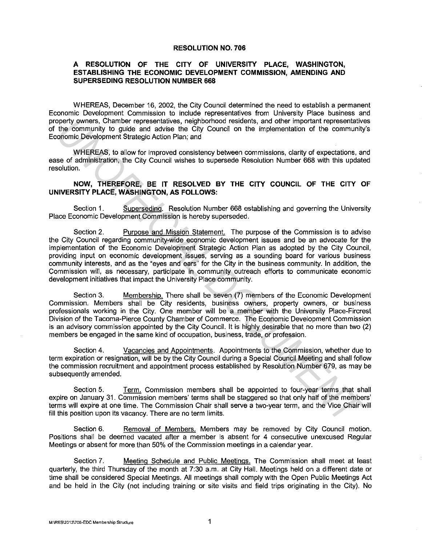## **RESOLUTION NO. 706**

## **A RESOLUTION OF THE CITY OF UNIVERSITY PLACE, WASHINGTON, ESTABLISHING THE ECONOMIC DEVELOPMENT COMMISSION, AMENDING AND SUPERSEDING RESOLUTION NUMBER 668**

WHEREAS, December 16, 2002, the City Council determined the need to establish a permanent Economic Development Commission to include representatives from University Place business and property owners, Chamber representatives, neighborhood residents, and other important representatives of the community to guide and advise the City Council on the implementation of the community's Economic Development Strategic Action Plan; and

WHEREAS, to allow for improved consistency between commissions, clarity of expectations, and ease of administration, the City Council wishes to supersede Resolution Number 668 with this updated resolution.

## **NOW, THEREFORE, BE IT RESOLVED BY THE CITY COUNCIL OF THE CITY OF UNIVERSITY PLACE, WASHINGTON, AS FOLLOWS:**

Section 1. Superseding. Resolution Number 668 establishing and governing the University Place Economic Development Commission is hereby superseded.

Section 2. Purpose and Mission Statement. The purpose of the Commission is to advise the City Council regarding community-wide economic development issues and be an advocate for the implementation of the Economic Development Strategic Action Plan as adopted by the City Council, providing input on economic development issues, serving as a sounding board for various business community interests, and as the "eyes and ears" for the City in the business community. In addition, the Commission will, as necessary, participate in community outreach efforts to communicate economic development initiatives that impact the University Place community. cheristic Character persentatives, neighborhood residents, and other important representatives (Schermunity to guide and advise the Gity Council on the implementation of the community forminal Development Strategic Action

Section 3. Membership. There shall be seven (7) members of the Economic Development Commission. Members shall be City residents, business owners, property owners, or business professionals working in the City. One member will be a member with the University Place-Fircrest Division of the Tacoma-Pierce County Chamber of Commerce. The Economic Development Commission is an advisory commission appointed by the City Council. It is highly desirable that no more than two (2) members be engaged in the same kind of occupation, business, trade, or profession.

Section 4. Vacancies and Appointments. Appointments to the Commission, whether due to term expiration or resignation, will be by the City Council during a Special Council Meeting and shall follow the commission recruitment and appointment process established by Resolution Number 679, as may be subsequently amended.

Section 5. Term. Commission members shall be appointed to four-year terms that shall expire on January 31. Commission members' terms shall be staggered so that only half of the members' terms will expire at one time. The Commission Chair shall serve a two-year term, and the Vice Chair will fill this position upon its vacancy. There are no term limits.

Section 6. Removal of Members. Members may be removed by City Council motion. Positions shall be deemed vacated after a member is absent for 4 consecutive unexcused Regular Meetings or absent for more than 50% of the Commission meetings in a calendar year.

Section 7. Meeting Schedule and Public Meetings. The Commission shall meet at least quarterly, the third Thursday of the month at 7:30 a.m. at City Hall. Meetings held on a different date or time shall be considered Special Meetings. All meetings shall comply with the Open Public Meetings Act and be held in the City (not including training or site visits and field trips originating in the City). No